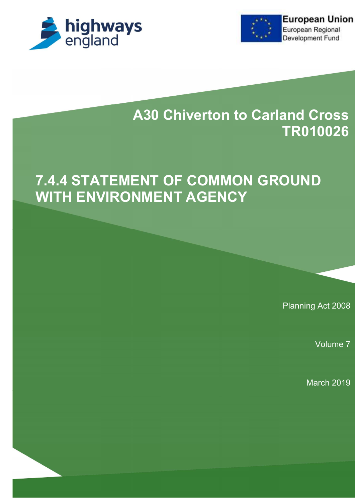



## A30 Chiverton to Carland Cross TR010026

# 7.4.4 STATEMENT OF COMMON GROUND WITH ENVIRONMENT AGENCY

Planning Act 2008

Volume 7

March 2019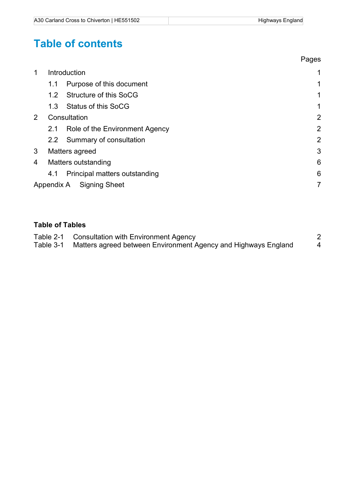## Table of contents

|                              |                |                                | Pages          |
|------------------------------|----------------|--------------------------------|----------------|
| 1                            | Introduction   |                                | $\mathbf 1$    |
|                              | 1.1            | Purpose of this document       | $\mathbf{1}$   |
|                              | 1.2            | Structure of this SoCG         | $\mathbf{1}$   |
|                              | 1.3            | <b>Status of this SoCG</b>     | 1              |
| $\mathbf{2}$<br>Consultation |                |                                | $\overline{2}$ |
|                              | 2.1            | Role of the Environment Agency | $\overline{2}$ |
|                              | 2.2            | Summary of consultation        | $\overline{2}$ |
| 3                            | Matters agreed |                                | 3              |
| Matters outstanding<br>4     |                |                                | 6              |
|                              | 4.1            | Principal matters outstanding  | 6              |
|                              | Appendix A     | <b>Signing Sheet</b>           | 7              |

#### Table of Tables

| Table 2-1 Consultation with Environment Agency                           |  |
|--------------------------------------------------------------------------|--|
| Table 3-1 Matters agreed between Environment Agency and Highways England |  |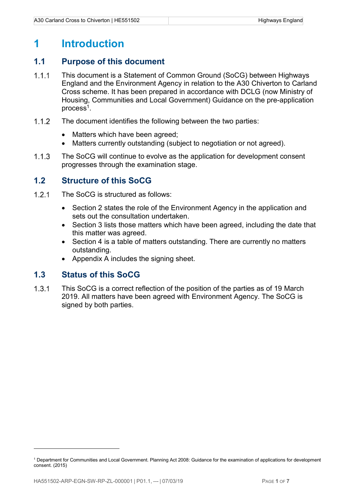## 1 Introduction

#### 1.1 Purpose of this document

- This document is a Statement of Common Ground (SoCG) between Highways England and the Environment Agency in relation to the A30 Chiverton to Carland Cross scheme. It has been prepared in accordance with DCLG (now Ministry of Housing, Communities and Local Government) Guidance on the pre-application process $^1$ .
- 1.1.2 The document identifies the following between the two parties:
	- Matters which have been agreed;
	- Matters currently outstanding (subject to negotiation or not agreed).
- 1.1.3 The SoCG will continue to evolve as the application for development consent progresses through the examination stage.

#### 1.2 Structure of this SoCG

- 1.2.1 The SoCG is structured as follows:
	- Section 2 states the role of the Environment Agency in the application and sets out the consultation undertaken.
	- Section 3 lists those matters which have been agreed, including the date that this matter was agreed.
	- Section 4 is a table of matters outstanding. There are currently no matters outstanding.
	- Appendix A includes the signing sheet.

#### 1.3 Status of this SoCG

1.3.1 This SoCG is a correct reflection of the position of the parties as of 19 March 2019. All matters have been agreed with Environment Agency. The SoCG is signed by both parties.

 $\overline{a}$ 

<sup>&</sup>lt;sup>1</sup> Department for Communities and Local Government. Planning Act 2008: Guidance for the examination of applications for development consent. (2015)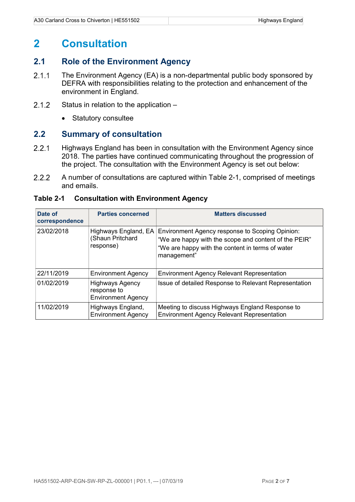### 2 Consultation

#### 2.1 Role of the Environment Agency

- 2.1.1 The Environment Agency (EA) is a non-departmental public body sponsored by DEFRA with responsibilities relating to the protection and enhancement of the environment in England.
- 2.1.2 Status in relation to the application  $-$ 
	- Statutory consultee

#### 2.2 Summary of consultation

- 2.2.1 Highways England has been in consultation with the Environment Agency since 2018. The parties have continued communicating throughout the progression of the project. The consultation with the Environment Agency is set out below:
- A number of consultations are captured within Table 2-1, comprised of meetings and emails.

| Date of<br>correspondence | <b>Parties concerned</b>                                           | <b>Matters discussed</b>                                                                                                                                                    |  |
|---------------------------|--------------------------------------------------------------------|-----------------------------------------------------------------------------------------------------------------------------------------------------------------------------|--|
| 23/02/2018                | Highways England, EA<br>(Shaun Pritchard<br>response)              | Environment Agency response to Scoping Opinion:<br>"We are happy with the scope and content of the PEIR"<br>"We are happy with the content in terms of water<br>management" |  |
| 22/11/2019                | <b>Environment Agency</b>                                          | <b>Environment Agency Relevant Representation</b>                                                                                                                           |  |
| 01/02/2019                | <b>Highways Agency</b><br>response to<br><b>Environment Agency</b> | Issue of detailed Response to Relevant Representation                                                                                                                       |  |
| 11/02/2019                | Highways England,<br><b>Environment Agency</b>                     | Meeting to discuss Highways England Response to<br><b>Environment Agency Relevant Representation</b>                                                                        |  |

#### Table 2-1 Consultation with Environment Agency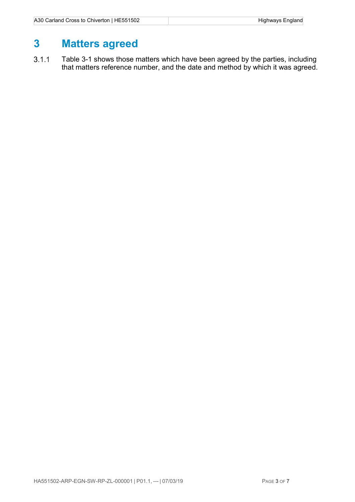## 3 Matters agreed

 Table 3-1 shows those matters which have been agreed by the parties, including that matters reference number, and the date and method by which it was agreed.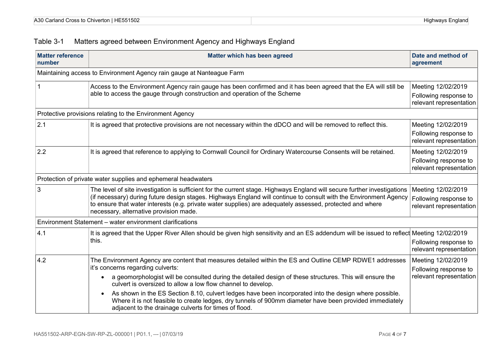| A30 C<br>s to Chiverton.<br>E551502<br>HE<br>Cross fr<br>∴arland | <u>hways:</u><br>:naland |
|------------------------------------------------------------------|--------------------------|
|------------------------------------------------------------------|--------------------------|

### Table 3-1 Matters agreed between Environment Agency and Highways England

| <b>Matter reference</b><br>number | Matter which has been agreed                                                                                                                                                                                                                                                                                                                                                                                                                                                                                                                                                                                                      | Date and method of<br>agreement                                        |
|-----------------------------------|-----------------------------------------------------------------------------------------------------------------------------------------------------------------------------------------------------------------------------------------------------------------------------------------------------------------------------------------------------------------------------------------------------------------------------------------------------------------------------------------------------------------------------------------------------------------------------------------------------------------------------------|------------------------------------------------------------------------|
|                                   | Maintaining access to Environment Agency rain gauge at Nanteague Farm                                                                                                                                                                                                                                                                                                                                                                                                                                                                                                                                                             |                                                                        |
|                                   | Access to the Environment Agency rain gauge has been confirmed and it has been agreed that the EA will still be<br>able to access the gauge through construction and operation of the Scheme                                                                                                                                                                                                                                                                                                                                                                                                                                      | Meeting 12/02/2019<br>Following response to<br>relevant representation |
|                                   | Protective provisions relating to the Environment Agency                                                                                                                                                                                                                                                                                                                                                                                                                                                                                                                                                                          |                                                                        |
| 2.1                               | It is agreed that protective provisions are not necessary within the dDCO and will be removed to reflect this.                                                                                                                                                                                                                                                                                                                                                                                                                                                                                                                    | Meeting 12/02/2019<br>Following response to<br>relevant representation |
| 2.2                               | It is agreed that reference to applying to Cornwall Council for Ordinary Watercourse Consents will be retained.                                                                                                                                                                                                                                                                                                                                                                                                                                                                                                                   | Meeting 12/02/2019<br>Following response to<br>relevant representation |
|                                   | Protection of private water supplies and ephemeral headwaters                                                                                                                                                                                                                                                                                                                                                                                                                                                                                                                                                                     |                                                                        |
| 3                                 | The level of site investigation is sufficient for the current stage. Highways England will secure further investigations<br>(if necessary) during future design stages. Highways England will continue to consult with the Environment Agency<br>to ensure that water interests (e.g. private water supplies) are adequately assessed, protected and where<br>necessary, alternative provision made.                                                                                                                                                                                                                              | Meeting 12/02/2019<br>Following response to<br>relevant representation |
|                                   | Environment Statement - water environment clarifications                                                                                                                                                                                                                                                                                                                                                                                                                                                                                                                                                                          |                                                                        |
| 4.1                               | It is agreed that the Upper River Allen should be given high sensitivity and an ES addendum will be issued to reflect Meeting 12/02/2019<br>this.                                                                                                                                                                                                                                                                                                                                                                                                                                                                                 | Following response to<br>relevant representation                       |
| 4.2                               | The Environment Agency are content that measures detailed within the ES and Outline CEMP RDWE1 addresses<br>it's concerns regarding culverts:<br>a geomorphologist will be consulted during the detailed design of these structures. This will ensure the<br>$\bullet$<br>culvert is oversized to allow a low flow channel to develop.<br>As shown in the ES Section 8.10, culvert ledges have been incorporated into the design where possible.<br>$\bullet$<br>Where it is not feasible to create ledges, dry tunnels of 900mm diameter have been provided immediately<br>adjacent to the drainage culverts for times of flood. | Meeting 12/02/2019<br>Following response to<br>relevant representation |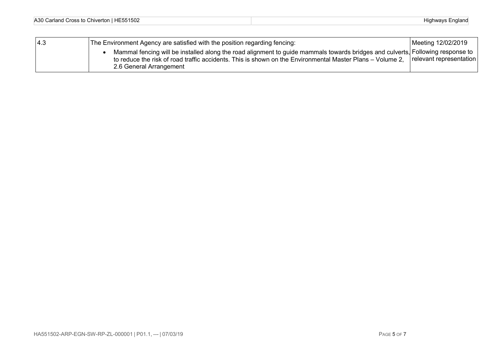| A30 C<br>E551502<br>≅vertor⊾<br>Cross to Cl<br>Carland | Highwavs<br>ngland |
|--------------------------------------------------------|--------------------|
|--------------------------------------------------------|--------------------|

| 14.3 | The Environment Agency are satisfied with the position regarding fencing:                                                                                                                                                                          | Meeting 12/02/2019                               |
|------|----------------------------------------------------------------------------------------------------------------------------------------------------------------------------------------------------------------------------------------------------|--------------------------------------------------|
|      | Mammal fencing will be installed along the road alignment to guide mammals towards bridges and culverts, F<br>to reduce the risk of road traffic accidents. This is shown on the Environmental Master Plans – Volume 2,<br>2.6 General Arrangement | Following response to<br>relevant representation |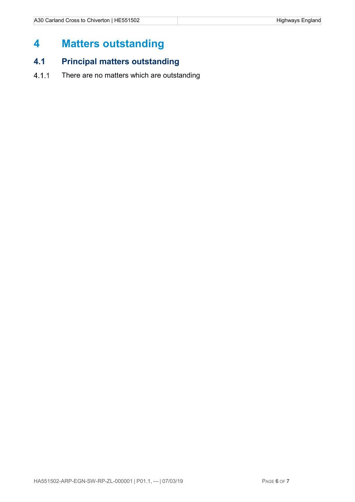## 4 Matters outstanding

#### 4.1 Principal matters outstanding

4.1.1 There are no matters which are outstanding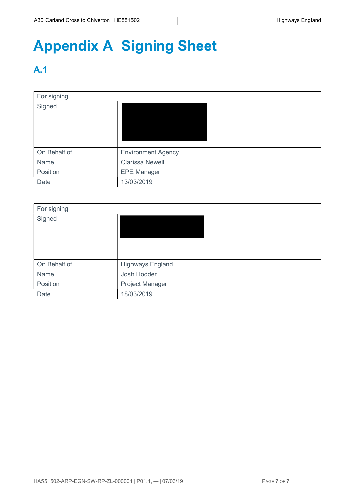# Appendix A Signing Sheet

### A.1

| For signing  |                           |  |
|--------------|---------------------------|--|
| Signed       |                           |  |
| On Behalf of | <b>Environment Agency</b> |  |
| Name         | <b>Clarissa Newell</b>    |  |
| Position     | <b>EPE Manager</b>        |  |
| Date         | 13/03/2019                |  |

| For signing  |                         |  |
|--------------|-------------------------|--|
| Signed       |                         |  |
| On Behalf of | <b>Highways England</b> |  |
| Name         | Josh Hodder             |  |
| Position     | Project Manager         |  |
| Date         | 18/03/2019              |  |